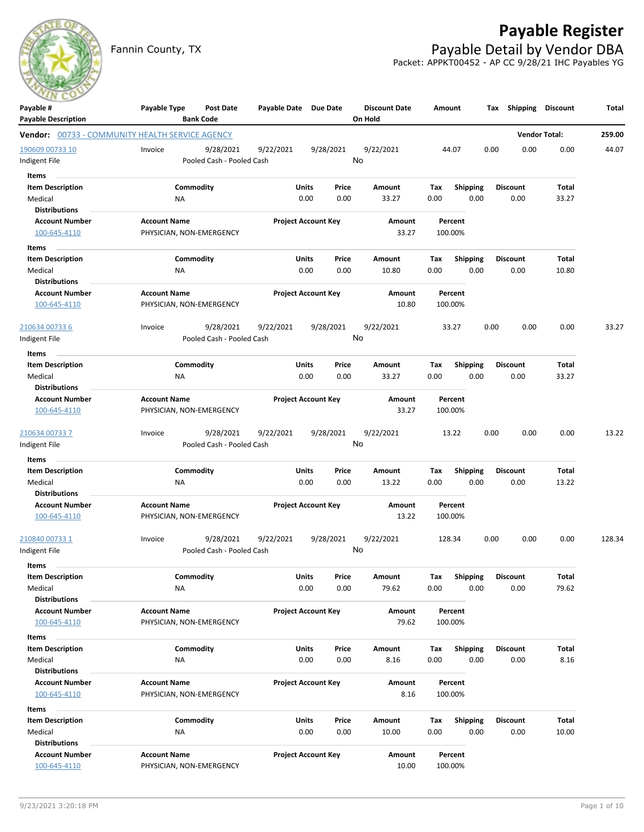

# **Payable Register**

Fannin County, TX **Payable Detail by Vendor DBA** Packet: APPKT00452 - AP CC 9/28/21 IHC Payables YG

| Payable #<br><b>Payable Description</b>                | Payable Type                                    | Post Date<br><b>Bank Code</b>          | Payable Date Due Date |                            | <b>Discount Date</b><br>On Hold | Amount             |                 | Tax Shipping    | <b>Discount</b>      | Total  |
|--------------------------------------------------------|-------------------------------------------------|----------------------------------------|-----------------------|----------------------------|---------------------------------|--------------------|-----------------|-----------------|----------------------|--------|
| <b>Vendor:</b> 00733 - COMMUNITY HEALTH SERVICE AGENCY |                                                 |                                        |                       |                            |                                 |                    |                 |                 | <b>Vendor Total:</b> | 259.00 |
| 190609 00733 10                                        | Invoice                                         | 9/28/2021                              | 9/22/2021             | 9/28/2021                  | 9/22/2021                       | 44.07              |                 | 0.00<br>0.00    | 0.00                 | 44.07  |
| ndigent File                                           |                                                 | Pooled Cash - Pooled Cash              |                       |                            | No                              |                    |                 |                 |                      |        |
| Items                                                  |                                                 |                                        |                       |                            |                                 |                    |                 |                 |                      |        |
| <b>Item Description</b>                                |                                                 | Commodity                              | Units                 | Price                      | Amount                          | Tax                | <b>Shipping</b> | <b>Discount</b> | Total                |        |
| Medical                                                | ΝA                                              |                                        |                       | 0.00<br>0.00               | 33.27                           | 0.00               | 0.00            | 0.00            | 33.27                |        |
| <b>Distributions</b>                                   |                                                 |                                        |                       |                            |                                 |                    |                 |                 |                      |        |
| <b>Account Number</b>                                  | <b>Account Name</b>                             |                                        |                       | <b>Project Account Key</b> | Amount                          | Percent            |                 |                 |                      |        |
| 100-645-4110                                           | PHYSICIAN, NON-EMERGENCY                        |                                        |                       |                            | 33.27                           | 100.00%            |                 |                 |                      |        |
| Items                                                  |                                                 |                                        |                       |                            |                                 |                    |                 |                 |                      |        |
| <b>Item Description</b>                                |                                                 | Commodity                              | Units                 | Price                      | Amount                          | Tax                | Shipping        | <b>Discount</b> | Total                |        |
| Medical                                                | ΝA                                              |                                        |                       | 0.00<br>0.00               | 10.80                           | 0.00               | 0.00            | 0.00            | 10.80                |        |
| <b>Distributions</b>                                   |                                                 |                                        |                       |                            |                                 |                    |                 |                 |                      |        |
| <b>Account Number</b>                                  | <b>Account Name</b>                             |                                        |                       | <b>Project Account Key</b> | Amount                          | Percent            |                 |                 |                      |        |
| 100-645-4110                                           | PHYSICIAN, NON-EMERGENCY                        |                                        |                       |                            | 10.80                           | 100.00%            |                 |                 |                      |        |
| 210634 00733 6                                         | Invoice                                         | 9/28/2021                              | 9/22/2021             | 9/28/2021                  | 9/22/2021                       | 33.27              |                 | 0.00<br>0.00    | 0.00                 | 33.27  |
| Indigent File                                          |                                                 | Pooled Cash - Pooled Cash              |                       |                            | No                              |                    |                 |                 |                      |        |
| <b>Items</b>                                           |                                                 |                                        |                       |                            |                                 |                    |                 |                 |                      |        |
| <b>Item Description</b>                                |                                                 | Commodity                              | Units                 | Price                      | Amount                          | Tax                | <b>Shipping</b> | <b>Discount</b> | Total                |        |
| Medical                                                | NA                                              |                                        |                       | 0.00<br>0.00               | 33.27                           | 0.00               | 0.00            | 0.00            | 33.27                |        |
| <b>Distributions</b>                                   |                                                 |                                        |                       |                            |                                 |                    |                 |                 |                      |        |
| <b>Account Number</b>                                  | <b>Account Name</b>                             |                                        |                       | <b>Project Account Key</b> | Amount                          | Percent            |                 |                 |                      |        |
| 100-645-4110                                           | PHYSICIAN, NON-EMERGENCY                        |                                        |                       |                            | 33.27                           | 100.00%            |                 |                 |                      |        |
| 210634 00733 7                                         | Invoice                                         | 9/28/2021<br>Pooled Cash - Pooled Cash | 9/22/2021             | 9/28/2021                  | 9/22/2021<br>No                 | 13.22              |                 | 0.00<br>0.00    | 0.00                 | 13.22  |
| Indigent File                                          |                                                 |                                        |                       |                            |                                 |                    |                 |                 |                      |        |
| Items                                                  |                                                 |                                        |                       |                            |                                 |                    |                 |                 |                      |        |
| <b>Item Description</b>                                |                                                 | Commodity                              | Units                 | Price                      | Amount                          | Tax                | <b>Shipping</b> | <b>Discount</b> | Total                |        |
| Medical                                                | <b>NA</b>                                       |                                        |                       | 0.00<br>0.00               | 13.22                           | 0.00               | 0.00            | 0.00            | 13.22                |        |
| <b>Distributions</b>                                   |                                                 |                                        |                       |                            |                                 |                    |                 |                 |                      |        |
| <b>Account Number</b><br>100-645-4110                  | <b>Account Name</b><br>PHYSICIAN, NON-EMERGENCY |                                        |                       | <b>Project Account Key</b> | Amount<br>13.22                 | Percent<br>100.00% |                 |                 |                      |        |
| <u>210840 00733 1</u>                                  | Invoice                                         | 9/28/2021                              | 9/22/2021             | 9/28/2021                  | 9/22/2021                       | 128.34             |                 | 0.00<br>0.00    | 0.00                 | 128.34 |
| Indigent File                                          |                                                 | Pooled Cash - Pooled Cash              |                       |                            | No                              |                    |                 |                 |                      |        |
| Items                                                  |                                                 |                                        |                       |                            |                                 |                    |                 |                 |                      |        |
| <b>Item Description</b>                                |                                                 | Commodity                              | <b>Units</b>          | Price                      | Amount                          | Tax                | <b>Shipping</b> | <b>Discount</b> | Total                |        |
| Medical                                                | <b>NA</b>                                       |                                        |                       | 0.00<br>0.00               | 79.62                           | 0.00               | 0.00            | 0.00            | 79.62                |        |
| <b>Distributions</b>                                   |                                                 |                                        |                       |                            |                                 |                    |                 |                 |                      |        |
| <b>Account Number</b>                                  | <b>Account Name</b>                             |                                        |                       | <b>Project Account Key</b> | Amount                          | Percent            |                 |                 |                      |        |
| 100-645-4110                                           | PHYSICIAN, NON-EMERGENCY                        |                                        |                       |                            | 79.62                           | 100.00%            |                 |                 |                      |        |
| Items                                                  |                                                 |                                        |                       |                            |                                 |                    |                 |                 |                      |        |
| <b>Item Description</b>                                |                                                 | Commodity                              | Units                 | Price                      | Amount                          | Tax                | <b>Shipping</b> | <b>Discount</b> | Total                |        |
| Medical                                                | NA                                              |                                        |                       | 0.00<br>0.00               | 8.16                            | 0.00               | 0.00            | 0.00            | 8.16                 |        |
| <b>Distributions</b>                                   |                                                 |                                        |                       |                            |                                 |                    |                 |                 |                      |        |
| <b>Account Number</b>                                  | <b>Account Name</b>                             |                                        |                       | <b>Project Account Key</b> | Amount                          | Percent            |                 |                 |                      |        |
| 100-645-4110                                           | PHYSICIAN, NON-EMERGENCY                        |                                        |                       |                            | 8.16                            | 100.00%            |                 |                 |                      |        |
| Items                                                  |                                                 |                                        |                       |                            |                                 |                    |                 |                 |                      |        |
| <b>Item Description</b>                                |                                                 | Commodity                              | Units                 | Price                      | Amount                          | Tax                | <b>Shipping</b> | <b>Discount</b> | Total                |        |
| Medical                                                | NA                                              |                                        |                       | 0.00<br>0.00               | 10.00                           | 0.00               | 0.00            | 0.00            | 10.00                |        |
| <b>Distributions</b>                                   |                                                 |                                        |                       |                            |                                 |                    |                 |                 |                      |        |
| <b>Account Number</b>                                  | <b>Account Name</b>                             |                                        |                       | <b>Project Account Key</b> | Amount                          | Percent            |                 |                 |                      |        |
| 100-645-4110                                           | PHYSICIAN, NON-EMERGENCY                        |                                        |                       |                            | 10.00                           | 100.00%            |                 |                 |                      |        |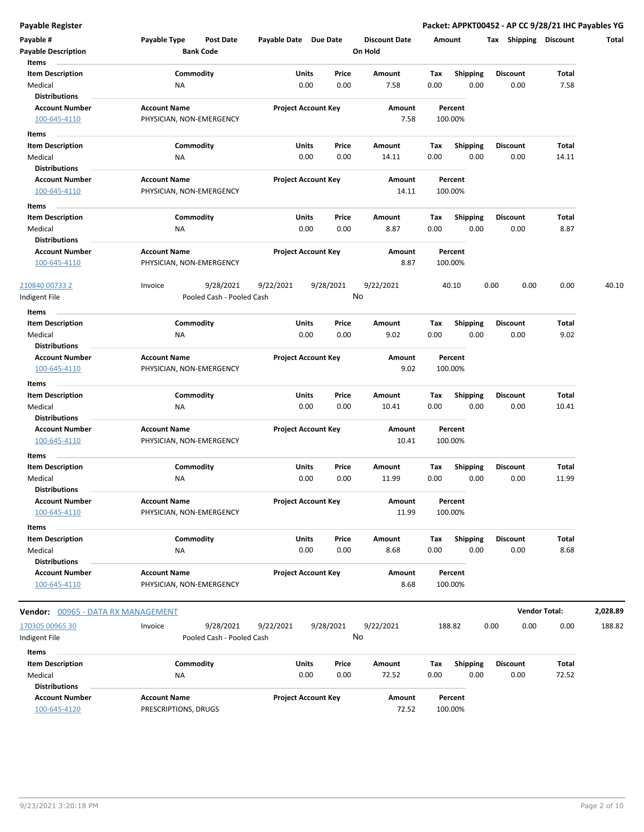**Payable Register Packet: APPKT00452 - AP CC 9/28/21 IHC Payables YG**

| Payable #<br><b>Payable Description</b> | Payable Type<br>Post Date<br><b>Bank Code</b> | Payable Date Due Date |                                | <b>Discount Date</b><br>On Hold | Amount                         | Tax  | Shipping                | <b>Discount</b> | Total    |
|-----------------------------------------|-----------------------------------------------|-----------------------|--------------------------------|---------------------------------|--------------------------------|------|-------------------------|-----------------|----------|
| Items<br><b>Item Description</b>        | Commodity                                     |                       | Units<br>Price                 | Amount                          | Tax                            |      | <b>Discount</b>         | Total           |          |
| Medical                                 | ΝA                                            |                       | 0.00<br>0.00                   | 7.58                            | <b>Shipping</b><br>0.00        | 0.00 | 0.00                    | 7.58            |          |
| <b>Distributions</b>                    |                                               |                       |                                |                                 |                                |      |                         |                 |          |
| <b>Account Number</b>                   | <b>Account Name</b>                           |                       | <b>Project Account Key</b>     | Amount                          | Percent                        |      |                         |                 |          |
| 100-645-4110                            | PHYSICIAN, NON-EMERGENCY                      |                       |                                | 7.58                            | 100.00%                        |      |                         |                 |          |
| Items                                   |                                               |                       |                                |                                 |                                |      |                         |                 |          |
| <b>Item Description</b>                 | Commodity                                     |                       | Units<br>Price                 | Amount                          | <b>Shipping</b><br>Tax         |      | Discount                | Total           |          |
| Medical                                 | NA                                            |                       | 0.00<br>0.00                   | 14.11                           | 0.00                           | 0.00 | 0.00                    | 14.11           |          |
| <b>Distributions</b>                    |                                               |                       |                                |                                 |                                |      |                         |                 |          |
| <b>Account Number</b>                   | <b>Account Name</b>                           |                       | <b>Project Account Key</b>     | Amount                          | Percent                        |      |                         |                 |          |
| 100-645-4110                            | PHYSICIAN, NON-EMERGENCY                      |                       |                                | 14.11                           | 100.00%                        |      |                         |                 |          |
| Items                                   |                                               |                       |                                |                                 |                                |      |                         |                 |          |
| <b>Item Description</b>                 | Commodity                                     |                       | Units<br>Price                 | Amount                          | Shipping<br>Tax                |      | <b>Discount</b>         | Total           |          |
| Medical                                 | NA                                            |                       | 0.00<br>0.00                   | 8.87                            | 0.00                           | 0.00 | 0.00                    | 8.87            |          |
| <b>Distributions</b>                    |                                               |                       |                                |                                 |                                |      |                         |                 |          |
| <b>Account Number</b>                   | <b>Account Name</b>                           |                       | <b>Project Account Key</b>     | Amount                          | Percent                        |      |                         |                 |          |
| 100-645-4110                            | PHYSICIAN, NON-EMERGENCY                      |                       |                                | 8.87                            | 100.00%                        |      |                         |                 |          |
| 210840 00733 2                          | 9/28/2021<br>Invoice                          | 9/22/2021             | 9/28/2021                      | 9/22/2021                       | 40.10                          | 0.00 | 0.00                    | 0.00            | 40.10    |
| Indigent File                           | Pooled Cash - Pooled Cash                     |                       |                                | No                              |                                |      |                         |                 |          |
| Items                                   |                                               |                       |                                |                                 |                                |      |                         |                 |          |
| <b>Item Description</b>                 | Commodity                                     |                       | Units<br>Price                 | Amount                          | <b>Shipping</b><br>Tax         |      | <b>Discount</b>         | Total           |          |
| Medical                                 | NA                                            |                       | 0.00<br>0.00                   | 9.02                            | 0.00                           | 0.00 | 0.00                    | 9.02            |          |
| <b>Distributions</b>                    |                                               |                       |                                |                                 |                                |      |                         |                 |          |
| <b>Account Number</b>                   | <b>Account Name</b>                           |                       | <b>Project Account Key</b>     | Amount                          | Percent                        |      |                         |                 |          |
| 100-645-4110                            | PHYSICIAN, NON-EMERGENCY                      |                       |                                | 9.02                            | 100.00%                        |      |                         |                 |          |
| Items                                   |                                               |                       |                                |                                 |                                |      |                         |                 |          |
| <b>Item Description</b>                 | Commodity                                     |                       | Units<br>Price                 | Amount                          | <b>Shipping</b><br>Tax         |      | <b>Discount</b>         | Total           |          |
| Medical                                 | ΝA                                            |                       | 0.00<br>0.00                   | 10.41                           | 0.00                           | 0.00 | 0.00                    | 10.41           |          |
| <b>Distributions</b>                    |                                               |                       |                                |                                 |                                |      |                         |                 |          |
| <b>Account Number</b>                   | <b>Account Name</b>                           |                       | <b>Project Account Key</b>     | Amount                          | Percent                        |      |                         |                 |          |
| 100-645-4110                            | PHYSICIAN, NON-EMERGENCY                      |                       |                                | 10.41                           | 100.00%                        |      |                         |                 |          |
| Items                                   |                                               |                       |                                |                                 |                                |      |                         |                 |          |
| <b>Item Description</b>                 | Commodity                                     |                       | Units<br>Price                 | Amount                          | Tax<br><b>Shipping</b>         |      | Discount                | Total           |          |
| Medical                                 | NA                                            |                       | 0.00<br>0.00                   | 11.99                           | 0.00                           | 0.00 | 0.00                    | 11.99           |          |
| <b>Distributions</b>                    | <b>Account Name</b>                           |                       |                                |                                 | Percent                        |      |                         |                 |          |
| <b>Account Number</b><br>100-645-4110   | PHYSICIAN, NON-EMERGENCY                      |                       | <b>Project Account Key</b>     | Amount<br>11.99                 | 100.00%                        |      |                         |                 |          |
|                                         |                                               |                       |                                |                                 |                                |      |                         |                 |          |
| Items                                   |                                               |                       |                                |                                 |                                |      |                         |                 |          |
| <b>Item Description</b><br>Medical      | Commodity<br>NA                               |                       | Price<br>Units<br>0.00<br>0.00 | Amount<br>8.68                  | <b>Shipping</b><br>Tax<br>0.00 | 0.00 | <b>Discount</b><br>0.00 | Total<br>8.68   |          |
| <b>Distributions</b>                    |                                               |                       |                                |                                 |                                |      |                         |                 |          |
| <b>Account Number</b>                   | <b>Account Name</b>                           |                       | <b>Project Account Key</b>     | Amount                          | Percent                        |      |                         |                 |          |
| 100-645-4110                            | PHYSICIAN, NON-EMERGENCY                      |                       |                                | 8.68                            | 100.00%                        |      |                         |                 |          |
| Vendor: 00965 - DATA RX MANAGEMENT      |                                               |                       |                                |                                 |                                |      | <b>Vendor Total:</b>    |                 | 2,028.89 |
| 170305 00965 30                         | Invoice<br>9/28/2021                          | 9/22/2021             | 9/28/2021                      | 9/22/2021                       | 188.82                         | 0.00 | 0.00                    | 0.00            | 188.82   |
| Indigent File                           | Pooled Cash - Pooled Cash                     |                       |                                | No                              |                                |      |                         |                 |          |
|                                         |                                               |                       |                                |                                 |                                |      |                         |                 |          |
| Items<br><b>Item Description</b>        | Commodity                                     |                       | Units<br>Price                 | Amount                          | <b>Shipping</b><br>Tax         |      | <b>Discount</b>         | Total           |          |
| Medical                                 | NA                                            |                       | 0.00<br>0.00                   | 72.52                           | 0.00                           | 0.00 | 0.00                    | 72.52           |          |
| <b>Distributions</b>                    |                                               |                       |                                |                                 |                                |      |                         |                 |          |
| <b>Account Number</b>                   | <b>Account Name</b>                           |                       | <b>Project Account Key</b>     | Amount                          | Percent                        |      |                         |                 |          |
| 100-645-4120                            | PRESCRIPTIONS, DRUGS                          |                       |                                | 72.52                           | 100.00%                        |      |                         |                 |          |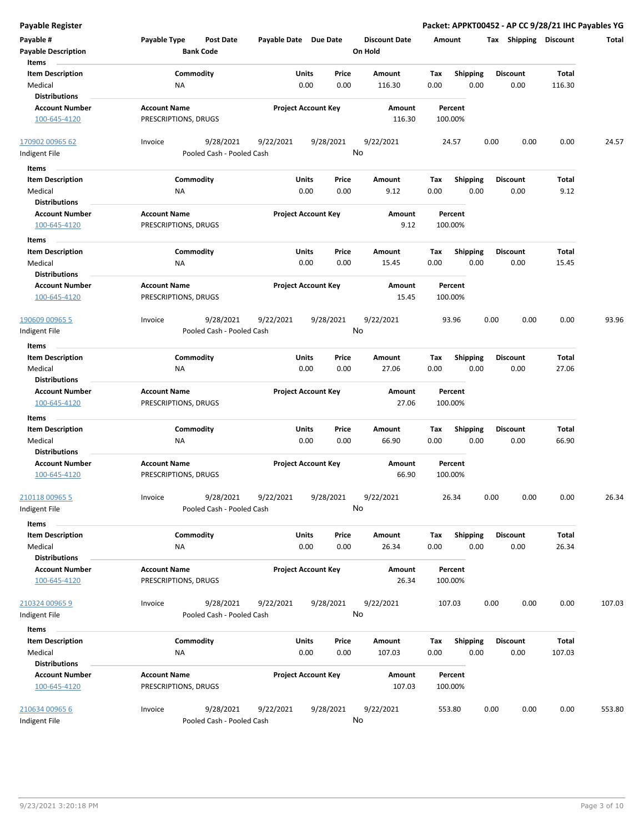| <b>Payable Register</b>                 |                                             |                           |       |                            |                                 |             |                         |      |                         |                | Packet: APPKT00452 - AP CC 9/28/21 IHC Payables YG |
|-----------------------------------------|---------------------------------------------|---------------------------|-------|----------------------------|---------------------------------|-------------|-------------------------|------|-------------------------|----------------|----------------------------------------------------|
| Payable #<br><b>Payable Description</b> | Payable Type<br><b>Bank Code</b>            | <b>Post Date</b>          |       | Payable Date Due Date      | <b>Discount Date</b><br>On Hold |             | Amount                  |      | Tax Shipping Discount   |                | Total                                              |
| Items                                   |                                             |                           |       |                            |                                 |             |                         |      |                         |                |                                                    |
| <b>Item Description</b>                 | Commodity                                   |                           | Units | Price                      | <b>Amount</b>                   | Tax         | <b>Shipping</b>         |      | <b>Discount</b>         | Total          |                                                    |
| Medical                                 | NA                                          |                           | 0.00  | 0.00                       | 116.30                          | 0.00        | 0.00                    |      | 0.00                    | 116.30         |                                                    |
| <b>Distributions</b>                    |                                             |                           |       |                            |                                 |             |                         |      |                         |                |                                                    |
| <b>Account Number</b><br>100-645-4120   | <b>Account Name</b><br>PRESCRIPTIONS, DRUGS |                           |       | <b>Project Account Key</b> | Amount<br>116.30                |             | Percent<br>100.00%      |      |                         |                |                                                    |
|                                         |                                             |                           |       |                            |                                 |             |                         |      |                         |                |                                                    |
| 170902 00965 62                         | Invoice                                     | 9/28/2021<br>9/22/2021    |       | 9/28/2021                  | 9/22/2021                       |             | 24.57                   | 0.00 | 0.00                    | 0.00           | 24.57                                              |
| Indigent File                           |                                             | Pooled Cash - Pooled Cash |       |                            | No                              |             |                         |      |                         |                |                                                    |
| Items                                   |                                             |                           |       |                            |                                 |             |                         |      |                         |                |                                                    |
| <b>Item Description</b>                 | Commodity                                   |                           | Units | Price                      | Amount                          | Tax         | <b>Shipping</b>         |      | <b>Discount</b>         | Total          |                                                    |
| Medical                                 | ΝA                                          |                           | 0.00  | 0.00                       | 9.12                            | 0.00        | 0.00                    |      | 0.00                    | 9.12           |                                                    |
| <b>Distributions</b>                    |                                             |                           |       |                            |                                 |             |                         |      |                         |                |                                                    |
| <b>Account Number</b>                   | <b>Account Name</b>                         |                           |       | <b>Project Account Key</b> | Amount                          |             | Percent                 |      |                         |                |                                                    |
| 100-645-4120                            | PRESCRIPTIONS, DRUGS                        |                           |       |                            | 9.12                            |             | 100.00%                 |      |                         |                |                                                    |
| Items                                   |                                             |                           |       |                            |                                 |             |                         |      |                         |                |                                                    |
| <b>Item Description</b>                 | Commodity                                   |                           | Units | Price                      | Amount                          | Tax         | <b>Shipping</b>         |      | <b>Discount</b>         | Total          |                                                    |
| Medical                                 | ΝA                                          |                           | 0.00  | 0.00                       | 15.45                           | 0.00        | 0.00                    |      | 0.00                    | 15.45          |                                                    |
| <b>Distributions</b>                    |                                             |                           |       |                            |                                 |             |                         |      |                         |                |                                                    |
| <b>Account Number</b>                   | <b>Account Name</b>                         |                           |       | <b>Project Account Key</b> | Amount                          |             | Percent                 |      |                         |                |                                                    |
| 100-645-4120                            | PRESCRIPTIONS, DRUGS                        |                           |       |                            | 15.45                           |             | 100.00%                 |      |                         |                |                                                    |
| 190609 00965 5                          | Invoice                                     | 9/28/2021<br>9/22/2021    |       | 9/28/2021                  | 9/22/2021                       |             | 93.96                   | 0.00 | 0.00                    | 0.00           | 93.96                                              |
| Indigent File                           |                                             | Pooled Cash - Pooled Cash |       |                            | No                              |             |                         |      |                         |                |                                                    |
|                                         |                                             |                           |       |                            |                                 |             |                         |      |                         |                |                                                    |
| Items                                   | Commodity                                   |                           | Units | Price                      | Amount                          |             |                         |      | <b>Discount</b>         | Total          |                                                    |
| <b>Item Description</b><br>Medical      | NA                                          |                           | 0.00  | 0.00                       | 27.06                           | Tax<br>0.00 | <b>Shipping</b><br>0.00 |      | 0.00                    | 27.06          |                                                    |
| <b>Distributions</b>                    |                                             |                           |       |                            |                                 |             |                         |      |                         |                |                                                    |
| <b>Account Number</b>                   | <b>Account Name</b>                         |                           |       | <b>Project Account Key</b> | Amount                          |             | Percent                 |      |                         |                |                                                    |
| 100-645-4120                            | PRESCRIPTIONS, DRUGS                        |                           |       |                            | 27.06                           |             | 100.00%                 |      |                         |                |                                                    |
|                                         |                                             |                           |       |                            |                                 |             |                         |      |                         |                |                                                    |
| Items                                   |                                             |                           | Units | Price                      |                                 |             |                         |      |                         |                |                                                    |
| <b>Item Description</b><br>Medical      | Commodity<br>NA                             |                           | 0.00  | 0.00                       | Amount<br>66.90                 | Tax<br>0.00 | <b>Shipping</b><br>0.00 |      | <b>Discount</b><br>0.00 | Total<br>66.90 |                                                    |
| <b>Distributions</b>                    |                                             |                           |       |                            |                                 |             |                         |      |                         |                |                                                    |
| <b>Account Number</b>                   | <b>Account Name</b>                         |                           |       | <b>Project Account Key</b> | Amount                          |             | Percent                 |      |                         |                |                                                    |
| 100-645-4120                            | PRESCRIPTIONS, DRUGS                        |                           |       |                            | 66.90                           |             | 100.00%                 |      |                         |                |                                                    |
|                                         |                                             |                           |       |                            |                                 |             |                         |      |                         |                |                                                    |
| 210118 00965 5                          | Invoice                                     | 9/28/2021<br>9/22/2021    |       | 9/28/2021                  | 9/22/2021                       |             | 26.34                   | 0.00 | 0.00                    | 0.00           | 26.34                                              |
| Indigent File                           |                                             | Pooled Cash - Pooled Cash |       |                            | No                              |             |                         |      |                         |                |                                                    |
| Items                                   |                                             |                           |       |                            |                                 |             |                         |      |                         |                |                                                    |
| <b>Item Description</b>                 | Commodity                                   |                           | Units | Price                      | Amount                          | Tax         | <b>Shipping</b>         |      | <b>Discount</b>         | Total          |                                                    |
| Medical                                 | ΝA                                          |                           | 0.00  | 0.00                       | 26.34                           | 0.00        | 0.00                    |      | 0.00                    | 26.34          |                                                    |
| <b>Distributions</b>                    |                                             |                           |       |                            |                                 |             |                         |      |                         |                |                                                    |
| <b>Account Number</b>                   | <b>Account Name</b>                         |                           |       | <b>Project Account Key</b> | Amount                          |             | Percent                 |      |                         |                |                                                    |
| 100-645-4120                            | PRESCRIPTIONS, DRUGS                        |                           |       |                            | 26.34                           |             | 100.00%                 |      |                         |                |                                                    |
|                                         |                                             |                           |       |                            |                                 |             |                         |      |                         |                |                                                    |
| 210324 00965 9                          | Invoice                                     | 9/28/2021<br>9/22/2021    |       | 9/28/2021                  | 9/22/2021                       |             | 107.03                  | 0.00 | 0.00                    | 0.00           | 107.03                                             |
| Indigent File                           |                                             | Pooled Cash - Pooled Cash |       |                            | No                              |             |                         |      |                         |                |                                                    |
| Items                                   |                                             |                           |       |                            |                                 |             |                         |      |                         |                |                                                    |
| <b>Item Description</b>                 | Commodity                                   |                           | Units | Price                      | Amount                          | Tax         | Shipping                |      | <b>Discount</b>         | <b>Total</b>   |                                                    |
| Medical                                 | NA                                          |                           | 0.00  | 0.00                       | 107.03                          | 0.00        | 0.00                    |      | 0.00                    | 107.03         |                                                    |
| <b>Distributions</b>                    |                                             |                           |       |                            |                                 |             |                         |      |                         |                |                                                    |
| <b>Account Number</b>                   | <b>Account Name</b>                         |                           |       | <b>Project Account Key</b> | Amount                          |             | Percent                 |      |                         |                |                                                    |
| 100-645-4120                            | PRESCRIPTIONS, DRUGS                        |                           |       |                            | 107.03                          |             | 100.00%                 |      |                         |                |                                                    |
|                                         |                                             |                           |       |                            |                                 |             |                         |      |                         |                |                                                    |
| 210634 00965 6                          | Invoice                                     | 9/28/2021<br>9/22/2021    |       | 9/28/2021                  | 9/22/2021<br>No                 |             | 553.80                  | 0.00 | 0.00                    | 0.00           | 553.80                                             |
| Indigent File                           |                                             | Pooled Cash - Pooled Cash |       |                            |                                 |             |                         |      |                         |                |                                                    |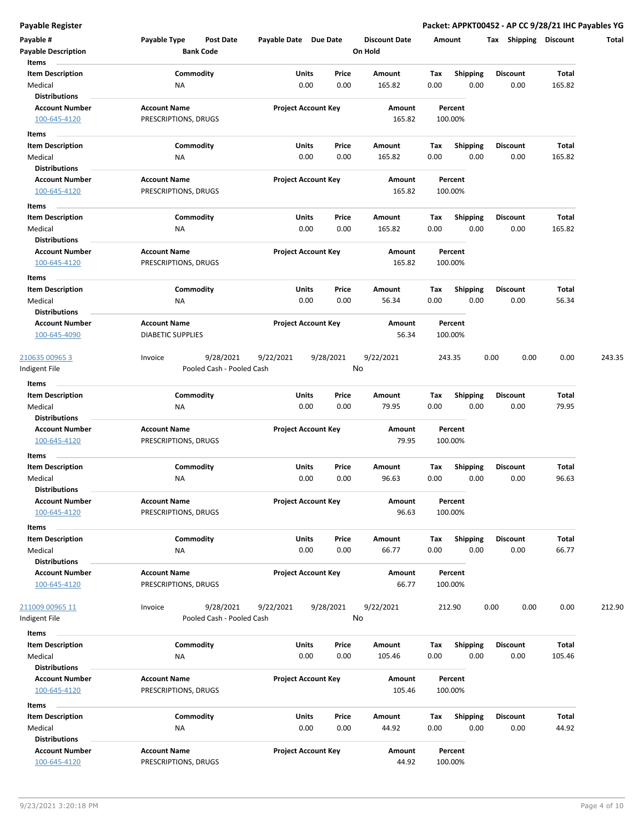**Payable Register Packet: APPKT00452 - AP CC 9/28/21 IHC Payables YG**

| Payable #<br><b>Payable Description</b> | Payable Type<br><b>Post Date</b><br><b>Bank Code</b> | Payable Date Due Date      | <b>Discount Date</b><br>On Hold | Amount                   | <b>Shipping</b><br>Tax | <b>Discount</b> | Total  |
|-----------------------------------------|------------------------------------------------------|----------------------------|---------------------------------|--------------------------|------------------------|-----------------|--------|
| Items                                   |                                                      |                            |                                 |                          |                        |                 |        |
| <b>Item Description</b>                 | Commodity                                            | Units                      | Price<br>Amount                 | Tax<br><b>Shipping</b>   | <b>Discount</b>        | Total           |        |
| Medical                                 | ΝA                                                   | 0.00                       | 0.00<br>165.82                  | 0.00<br>0.00             | 0.00                   | 165.82          |        |
| <b>Distributions</b>                    |                                                      |                            |                                 |                          |                        |                 |        |
| <b>Account Number</b>                   | <b>Account Name</b>                                  | <b>Project Account Key</b> | Amount                          | Percent                  |                        |                 |        |
| 100-645-4120                            | PRESCRIPTIONS, DRUGS                                 |                            | 165.82                          | 100.00%                  |                        |                 |        |
| Items                                   |                                                      |                            |                                 |                          |                        |                 |        |
| <b>Item Description</b>                 | Commodity                                            | Units                      | Price<br>Amount                 | Shipping<br>Тах          | <b>Discount</b>        | Total           |        |
| Medical                                 | ΝA                                                   | 0.00                       | 0.00<br>165.82                  | 0.00<br>0.00             | 0.00                   | 165.82          |        |
| <b>Distributions</b>                    |                                                      |                            |                                 |                          |                        |                 |        |
| <b>Account Number</b>                   | <b>Account Name</b>                                  | <b>Project Account Key</b> | Amount                          | Percent                  |                        |                 |        |
| 100-645-4120                            | PRESCRIPTIONS, DRUGS                                 |                            | 165.82                          | 100.00%                  |                        |                 |        |
| Items                                   |                                                      |                            |                                 |                          |                        |                 |        |
| <b>Item Description</b>                 | Commodity                                            | <b>Units</b>               | Price<br>Amount                 | Tax<br><b>Shipping</b>   | <b>Discount</b>        | Total           |        |
| Medical                                 | NA                                                   | 0.00                       | 0.00<br>165.82                  | 0.00<br>0.00             | 0.00                   | 165.82          |        |
| <b>Distributions</b>                    |                                                      |                            |                                 |                          |                        |                 |        |
| <b>Account Number</b>                   | <b>Account Name</b>                                  | <b>Project Account Key</b> | Amount                          | Percent                  |                        |                 |        |
| 100-645-4120                            | PRESCRIPTIONS, DRUGS                                 |                            | 165.82                          | 100.00%                  |                        |                 |        |
| Items                                   |                                                      |                            |                                 |                          |                        |                 |        |
| <b>Item Description</b>                 | Commodity                                            | Units                      | Price<br>Amount                 | Tax<br><b>Shipping</b>   | <b>Discount</b>        | Total           |        |
| Medical                                 | <b>NA</b>                                            | 0.00                       | 0.00<br>56.34                   | 0.00<br>0.00             | 0.00                   | 56.34           |        |
| <b>Distributions</b>                    |                                                      |                            |                                 |                          |                        |                 |        |
| <b>Account Number</b>                   | <b>Account Name</b>                                  | <b>Project Account Key</b> | Amount                          | Percent                  |                        |                 |        |
| 100-645-4090                            | <b>DIABETIC SUPPLIES</b>                             |                            | 56.34                           | 100.00%                  |                        |                 |        |
|                                         |                                                      |                            |                                 |                          |                        |                 |        |
| 210635 00965 3                          | 9/28/2021<br>Invoice                                 | 9/22/2021<br>9/28/2021     | 9/22/2021                       | 243.35                   | 0.00<br>0.00           | 0.00            | 243.35 |
| Indigent File                           | Pooled Cash - Pooled Cash                            |                            | No                              |                          |                        |                 |        |
| Items                                   |                                                      |                            |                                 |                          |                        |                 |        |
| <b>Item Description</b>                 | Commodity                                            | Units                      | Price<br>Amount                 | <b>Shipping</b><br>Tax   | <b>Discount</b>        | Total           |        |
| Medical                                 | ΝA                                                   | 0.00                       | 0.00<br>79.95                   | 0.00<br>0.00             | 0.00                   | 79.95           |        |
| <b>Distributions</b>                    |                                                      |                            |                                 |                          |                        |                 |        |
| <b>Account Number</b>                   | <b>Account Name</b>                                  | <b>Project Account Key</b> | Amount                          | Percent                  |                        |                 |        |
| 100-645-4120                            | PRESCRIPTIONS, DRUGS                                 |                            | 79.95                           | 100.00%                  |                        |                 |        |
| Items                                   |                                                      |                            |                                 |                          |                        |                 |        |
| <b>Item Description</b>                 | Commodity                                            | Units                      | Price<br>Amount                 | Tax<br><b>Shipping</b>   | Discount               | Total           |        |
| Medical                                 | NA                                                   | 0.00                       | 0.00<br>96.63                   | 0.00<br>0.00             | 0.00                   | 96.63           |        |
| <b>Distributions</b>                    |                                                      |                            |                                 |                          |                        |                 |        |
| <b>Account Number</b>                   | <b>Account Name</b>                                  | <b>Project Account Key</b> | Amount                          | Percent                  |                        |                 |        |
| 100-645-4120                            | PRESCRIPTIONS, DRUGS                                 |                            | 96.63                           | 100.00%                  |                        |                 |        |
|                                         |                                                      |                            |                                 |                          |                        |                 |        |
| Items<br><b>Item Description</b>        | Commodity                                            | Units                      | Price<br>Amount                 | Tax                      | <b>Discount</b>        | Total           |        |
| Medical                                 | NA                                                   | 0.00                       | 0.00<br>66.77                   | Shipping<br>0.00<br>0.00 | 0.00                   | 66.77           |        |
| <b>Distributions</b>                    |                                                      |                            |                                 |                          |                        |                 |        |
| <b>Account Number</b>                   | <b>Account Name</b>                                  | <b>Project Account Key</b> | Amount                          | Percent                  |                        |                 |        |
| 100-645-4120                            | PRESCRIPTIONS, DRUGS                                 |                            | 66.77                           | 100.00%                  |                        |                 |        |
|                                         |                                                      |                            |                                 |                          |                        |                 |        |
| <u>211009 00965 11</u>                  | 9/28/2021<br>Invoice                                 | 9/28/2021<br>9/22/2021     | 9/22/2021                       | 212.90                   | 0.00<br>0.00           | 0.00            | 212.90 |
| Indigent File                           | Pooled Cash - Pooled Cash                            |                            | No                              |                          |                        |                 |        |
|                                         |                                                      |                            |                                 |                          |                        |                 |        |
| Items<br><b>Item Description</b>        | Commodity                                            | Units                      | Price<br>Amount                 | Shipping<br>Тах          | <b>Discount</b>        | Total           |        |
| Medical                                 | <b>NA</b>                                            | 0.00                       | 0.00<br>105.46                  | 0.00<br>0.00             | 0.00                   | 105.46          |        |
| <b>Distributions</b>                    |                                                      |                            |                                 |                          |                        |                 |        |
| <b>Account Number</b>                   | <b>Account Name</b>                                  | <b>Project Account Key</b> | Amount                          | Percent                  |                        |                 |        |
| 100-645-4120                            | PRESCRIPTIONS, DRUGS                                 |                            | 105.46                          | 100.00%                  |                        |                 |        |
|                                         |                                                      |                            |                                 |                          |                        |                 |        |
| Items                                   |                                                      |                            |                                 |                          |                        |                 |        |
| <b>Item Description</b>                 | Commodity                                            | Units                      | Price<br>Amount                 | <b>Shipping</b><br>Tax   | <b>Discount</b>        | Total           |        |
| Medical                                 | NA                                                   | 0.00                       | 0.00<br>44.92                   | 0.00<br>0.00             | 0.00                   | 44.92           |        |
| <b>Distributions</b>                    |                                                      |                            |                                 |                          |                        |                 |        |
| <b>Account Number</b>                   | <b>Account Name</b>                                  | <b>Project Account Key</b> | Amount                          | Percent                  |                        |                 |        |
| 100-645-4120                            | PRESCRIPTIONS, DRUGS                                 |                            | 44.92                           | 100.00%                  |                        |                 |        |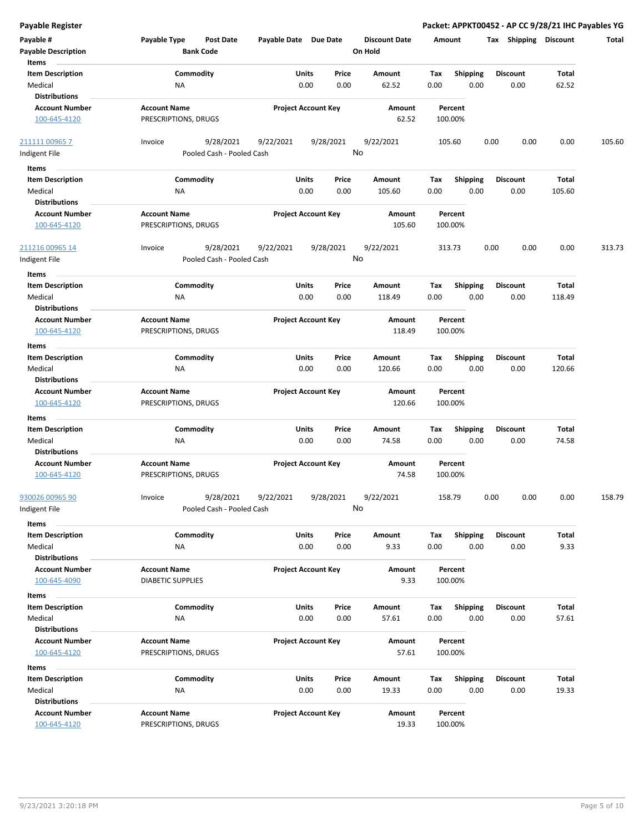| Payable #<br><b>Payable Description</b><br>Items              | Payable Type                                | Post Date<br><b>Bank Code</b>          | Payable Date Due Date |                            | <b>Discount Date</b><br>On Hold |             | Amount                  | Tax<br><b>Shipping</b>  | <b>Discount</b> | Total  |
|---------------------------------------------------------------|---------------------------------------------|----------------------------------------|-----------------------|----------------------------|---------------------------------|-------------|-------------------------|-------------------------|-----------------|--------|
| <b>Item Description</b><br>Medical                            | ΝA                                          | Commodity                              | Units                 | Price<br>0.00<br>0.00      | Amount<br>62.52                 | Tax<br>0.00 | <b>Shipping</b><br>0.00 | <b>Discount</b><br>0.00 | Total<br>62.52  |        |
| <b>Distributions</b><br><b>Account Number</b><br>100-645-4120 | <b>Account Name</b><br>PRESCRIPTIONS, DRUGS |                                        |                       | <b>Project Account Key</b> | Amount<br>62.52                 |             | Percent<br>100.00%      |                         |                 |        |
| 211111 00965 7                                                | Invoice                                     | 9/28/2021                              | 9/22/2021             | 9/28/2021                  | 9/22/2021                       |             | 105.60                  | 0.00<br>0.00            | 0.00            | 105.60 |
| Indigent File                                                 |                                             | Pooled Cash - Pooled Cash              |                       |                            | No                              |             |                         |                         |                 |        |
| Items                                                         |                                             |                                        |                       |                            |                                 |             |                         |                         |                 |        |
| <b>Item Description</b>                                       |                                             | Commodity                              | <b>Units</b>          | Price                      | Amount                          | Tax         | <b>Shipping</b>         | <b>Discount</b>         | Total           |        |
| Medical                                                       | ΝA                                          |                                        |                       | 0.00<br>0.00               | 105.60                          | 0.00        | 0.00                    | 0.00                    | 105.60          |        |
| <b>Distributions</b>                                          |                                             |                                        |                       |                            |                                 |             |                         |                         |                 |        |
|                                                               | <b>Account Name</b>                         |                                        |                       |                            |                                 |             |                         |                         |                 |        |
| <b>Account Number</b><br>100-645-4120                         | PRESCRIPTIONS, DRUGS                        |                                        |                       | <b>Project Account Key</b> | Amount<br>105.60                |             | Percent<br>100.00%      |                         |                 |        |
| <u>211216 00965 14</u><br>ndigent File                        | Invoice                                     | 9/28/2021<br>Pooled Cash - Pooled Cash | 9/22/2021             | 9/28/2021                  | 9/22/2021<br>No                 |             | 313.73                  | 0.00<br>0.00            | 0.00            | 313.73 |
| Items                                                         |                                             |                                        |                       |                            |                                 |             |                         |                         |                 |        |
| <b>Item Description</b>                                       |                                             | Commodity                              | Units                 | Price                      | Amount                          | Tax         | <b>Shipping</b>         | <b>Discount</b>         | Total           |        |
| Medical                                                       | NA                                          |                                        |                       | 0.00<br>0.00               | 118.49                          | 0.00        | 0.00                    | 0.00                    | 118.49          |        |
| <b>Distributions</b>                                          |                                             |                                        |                       |                            |                                 |             |                         |                         |                 |        |
| <b>Account Number</b>                                         | <b>Account Name</b>                         |                                        |                       | <b>Project Account Key</b> | Amount                          |             | Percent                 |                         |                 |        |
| 100-645-4120                                                  | PRESCRIPTIONS, DRUGS                        |                                        |                       |                            | 118.49                          |             | 100.00%                 |                         |                 |        |
| Items                                                         |                                             |                                        |                       |                            |                                 |             |                         |                         |                 |        |
| <b>Item Description</b>                                       |                                             | Commodity                              | Units                 | Price                      | Amount                          | Тах         | <b>Shipping</b>         | <b>Discount</b>         | Total           |        |
| Medical                                                       | ΝA                                          |                                        |                       | 0.00<br>0.00               | 120.66                          | 0.00        | 0.00                    | 0.00                    | 120.66          |        |
| Distributions                                                 |                                             |                                        |                       |                            |                                 |             |                         |                         |                 |        |
| <b>Account Number</b>                                         | <b>Account Name</b>                         |                                        |                       | <b>Project Account Key</b> | Amount                          |             | Percent                 |                         |                 |        |
| 100-645-4120                                                  | PRESCRIPTIONS, DRUGS                        |                                        |                       |                            | 120.66                          |             | 100.00%                 |                         |                 |        |
| Items                                                         |                                             |                                        |                       |                            |                                 |             |                         |                         |                 |        |
| <b>Item Description</b>                                       |                                             | Commodity                              | Units                 | Price                      | Amount                          | Tax         | <b>Shipping</b>         | Discount                | Total           |        |
| Medical                                                       | ΝA                                          |                                        |                       | 0.00<br>0.00               | 74.58                           | 0.00        | 0.00                    | 0.00                    | 74.58           |        |
| <b>Distributions</b>                                          |                                             |                                        |                       |                            |                                 |             |                         |                         |                 |        |
| <b>Account Number</b>                                         | <b>Account Name</b>                         |                                        |                       | <b>Project Account Key</b> | Amount                          |             | Percent                 |                         |                 |        |
| 100-645-4120                                                  | PRESCRIPTIONS, DRUGS                        |                                        |                       |                            | 74.58                           |             | 100.00%                 |                         |                 |        |
| <u>930026 00965 90</u><br>Indigent File<br>Items              | Invoice                                     | 9/28/2021<br>Pooled Cash - Pooled Cash | 9/22/2021             | 9/28/2021                  | 9/22/2021<br>No                 |             | 158.79                  | 0.00<br>0.00            | 0.00            | 158.79 |
| <b>Item Description</b>                                       |                                             | Commodity                              | Units                 | Price                      | Amount                          | Tax         | <b>Shipping</b>         | <b>Discount</b>         | Total           |        |
| Medical                                                       | NA                                          |                                        |                       | 0.00<br>0.00               | 9.33                            | 0.00        | 0.00                    | 0.00                    | 9.33            |        |
| <b>Distributions</b>                                          |                                             |                                        |                       |                            |                                 |             |                         |                         |                 |        |
| <b>Account Number</b>                                         | <b>Account Name</b>                         |                                        |                       | <b>Project Account Key</b> | Amount                          |             | Percent                 |                         |                 |        |
| 100-645-4090                                                  | <b>DIABETIC SUPPLIES</b>                    |                                        |                       |                            | 9.33                            |             | 100.00%                 |                         |                 |        |
| Items                                                         |                                             |                                        |                       |                            |                                 |             |                         |                         |                 |        |
| <b>Item Description</b>                                       |                                             | Commodity                              | Units                 | Price                      | Amount                          | Tax         | <b>Shipping</b>         | <b>Discount</b>         | Total           |        |
| Medical                                                       | <b>NA</b>                                   |                                        |                       | 0.00<br>0.00               | 57.61                           | 0.00        | 0.00                    | 0.00                    | 57.61           |        |
| <b>Distributions</b>                                          |                                             |                                        |                       |                            |                                 |             |                         |                         |                 |        |
| <b>Account Number</b>                                         | <b>Account Name</b>                         |                                        |                       | <b>Project Account Key</b> | Amount                          |             | Percent                 |                         |                 |        |
| 100-645-4120                                                  | PRESCRIPTIONS, DRUGS                        |                                        |                       |                            | 57.61                           |             | 100.00%                 |                         |                 |        |
| Items                                                         |                                             |                                        |                       |                            |                                 |             |                         |                         |                 |        |
| <b>Item Description</b>                                       |                                             | Commodity                              | Units                 | Price                      | Amount                          | Tax         | Shipping                | <b>Discount</b>         | Total           |        |
| Medical                                                       | NA                                          |                                        |                       | 0.00<br>0.00               | 19.33                           | 0.00        | 0.00                    | 0.00                    | 19.33           |        |
| <b>Distributions</b>                                          |                                             |                                        |                       |                            |                                 |             |                         |                         |                 |        |
| <b>Account Number</b>                                         | <b>Account Name</b>                         |                                        |                       |                            |                                 |             |                         |                         |                 |        |
| 100-645-4120                                                  | PRESCRIPTIONS, DRUGS                        |                                        |                       | <b>Project Account Key</b> | Amount<br>19.33                 |             | Percent<br>100.00%      |                         |                 |        |
|                                                               |                                             |                                        |                       |                            |                                 |             |                         |                         |                 |        |

**Payable Register Packet: APPKT00452 - AP CC 9/28/21 IHC Payables YG**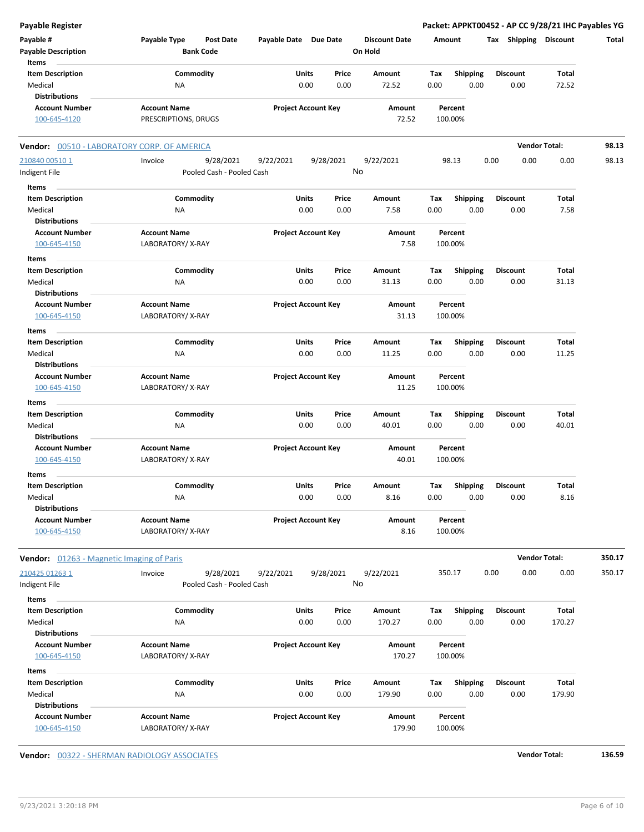| <b>Payable Register</b>                          |                                                      |                            |           |                                 |         |                 | Packet: APPKT00452 - AP CC 9/28/21 IHC Payables YG |                      |        |
|--------------------------------------------------|------------------------------------------------------|----------------------------|-----------|---------------------------------|---------|-----------------|----------------------------------------------------|----------------------|--------|
| Payable #<br><b>Payable Description</b>          | Payable Type<br><b>Post Date</b><br><b>Bank Code</b> | Payable Date Due Date      |           | <b>Discount Date</b><br>On Hold | Amount  |                 | Tax Shipping Discount                              |                      | Total  |
| Items                                            |                                                      |                            |           |                                 |         |                 |                                                    |                      |        |
| <b>Item Description</b>                          | Commodity                                            | Units                      | Price     | Amount                          | Tax     | <b>Shipping</b> | <b>Discount</b>                                    | <b>Total</b>         |        |
| Medical                                          | <b>NA</b>                                            | 0.00                       | 0.00      | 72.52                           | 0.00    | 0.00            | 0.00                                               | 72.52                |        |
| <b>Distributions</b>                             |                                                      |                            |           |                                 |         |                 |                                                    |                      |        |
| <b>Account Number</b>                            | <b>Account Name</b>                                  | <b>Project Account Key</b> |           | Amount                          |         | Percent         |                                                    |                      |        |
| 100-645-4120                                     | PRESCRIPTIONS, DRUGS                                 |                            |           | 72.52                           |         | 100.00%         |                                                    |                      |        |
| Vendor: 00510 - LABORATORY CORP. OF AMERICA      |                                                      |                            |           |                                 |         |                 |                                                    | <b>Vendor Total:</b> | 98.13  |
| 210840 00510 1                                   | 9/28/2021<br>Invoice                                 | 9/22/2021                  | 9/28/2021 | 9/22/2021                       |         | 98.13           | 0.00<br>0.00                                       | 0.00                 | 98.13  |
| Indigent File                                    | Pooled Cash - Pooled Cash                            |                            |           | No                              |         |                 |                                                    |                      |        |
| Items                                            |                                                      |                            |           |                                 |         |                 |                                                    |                      |        |
| <b>Item Description</b>                          | Commodity                                            | Units                      | Price     | Amount                          | Tax     | <b>Shipping</b> | <b>Discount</b>                                    | Total                |        |
| Medical                                          | ΝA                                                   | 0.00                       | 0.00      | 7.58                            | 0.00    | 0.00            | 0.00                                               | 7.58                 |        |
| <b>Distributions</b>                             |                                                      |                            |           |                                 |         |                 |                                                    |                      |        |
| <b>Account Number</b>                            | <b>Account Name</b>                                  | <b>Project Account Key</b> |           | Amount                          |         | Percent         |                                                    |                      |        |
| 100-645-4150                                     | LABORATORY/X-RAY                                     |                            |           | 7.58                            |         | 100.00%         |                                                    |                      |        |
|                                                  |                                                      |                            |           |                                 |         |                 |                                                    |                      |        |
| Items                                            |                                                      |                            |           |                                 |         |                 |                                                    |                      |        |
| <b>Item Description</b>                          | Commodity                                            | Units                      | Price     | Amount                          | Tax     | <b>Shipping</b> | <b>Discount</b>                                    | Total                |        |
| Medical                                          | NA                                                   | 0.00                       | 0.00      | 31.13                           | 0.00    | 0.00            | 0.00                                               | 31.13                |        |
| <b>Distributions</b>                             |                                                      |                            |           |                                 |         |                 |                                                    |                      |        |
| <b>Account Number</b>                            | <b>Account Name</b>                                  | <b>Project Account Key</b> |           | Amount                          |         | Percent         |                                                    |                      |        |
| 100-645-4150                                     | LABORATORY/X-RAY                                     |                            |           | 31.13                           |         | 100.00%         |                                                    |                      |        |
| Items                                            |                                                      |                            |           |                                 |         |                 |                                                    |                      |        |
| <b>Item Description</b>                          | Commodity                                            | Units                      | Price     | Amount                          | Tax     | <b>Shipping</b> | <b>Discount</b>                                    | Total                |        |
| Medical                                          | ΝA                                                   | 0.00                       | 0.00      | 11.25                           | 0.00    | 0.00            | 0.00                                               | 11.25                |        |
| <b>Distributions</b>                             |                                                      |                            |           |                                 |         |                 |                                                    |                      |        |
| <b>Account Number</b>                            | <b>Account Name</b>                                  | <b>Project Account Key</b> |           | Amount                          |         | Percent         |                                                    |                      |        |
| 100-645-4150                                     | LABORATORY/X-RAY                                     |                            |           | 11.25                           |         | 100.00%         |                                                    |                      |        |
|                                                  |                                                      |                            |           |                                 |         |                 |                                                    |                      |        |
| Items                                            |                                                      |                            |           |                                 |         |                 |                                                    |                      |        |
| <b>Item Description</b>                          | Commodity                                            | Units                      | Price     | Amount                          | Tax     | <b>Shipping</b> | <b>Discount</b>                                    | Total                |        |
| Medical                                          | <b>NA</b>                                            | 0.00                       | 0.00      | 40.01                           | 0.00    | 0.00            | 0.00                                               | 40.01                |        |
| <b>Distributions</b>                             |                                                      |                            |           |                                 |         |                 |                                                    |                      |        |
| <b>Account Number</b>                            | <b>Account Name</b>                                  | <b>Project Account Key</b> |           | Amount                          |         | Percent         |                                                    |                      |        |
| 100-645-4150                                     | LABORATORY/X-RAY                                     |                            |           | 40.01                           |         | 100.00%         |                                                    |                      |        |
| Items                                            |                                                      |                            |           |                                 |         |                 |                                                    |                      |        |
| <b>Item Description</b>                          | Commodity                                            | Units                      | Price     | Amount                          | Tax     | <b>Shipping</b> | <b>Discount</b>                                    | <b>Total</b>         |        |
| Medical                                          | NA                                                   | 0.00                       | 0.00      | 8.16                            | 0.00    | 0.00            | 0.00                                               | 8.16                 |        |
| <b>Distributions</b>                             |                                                      |                            |           |                                 |         |                 |                                                    |                      |        |
| <b>Account Number</b>                            | <b>Account Name</b>                                  | <b>Project Account Key</b> |           | Amount                          |         | Percent         |                                                    |                      |        |
| 100-645-4150                                     | LABORATORY/X-RAY                                     |                            |           | 8.16                            |         | 100.00%         |                                                    |                      |        |
| <b>Vendor:</b> 01263 - Magnetic Imaging of Paris |                                                      |                            |           |                                 |         |                 |                                                    | <b>Vendor Total:</b> | 350.17 |
| 210425 01263 1                                   | Invoice<br>9/28/2021                                 | 9/22/2021                  | 9/28/2021 | 9/22/2021                       | 350.17  |                 | 0.00<br>0.00                                       | 0.00                 | 350.17 |
| Indigent File                                    | Pooled Cash - Pooled Cash                            |                            | No        |                                 |         |                 |                                                    |                      |        |
|                                                  |                                                      |                            |           |                                 |         |                 |                                                    |                      |        |
| Items                                            |                                                      |                            |           |                                 |         |                 |                                                    |                      |        |
| <b>Item Description</b>                          | Commodity                                            | Units                      | Price     | Amount                          | Tax     | <b>Shipping</b> | <b>Discount</b>                                    | Total                |        |
| Medical                                          | ΝA                                                   | 0.00                       | 0.00      | 170.27                          | 0.00    | 0.00            | 0.00                                               | 170.27               |        |
| <b>Distributions</b>                             |                                                      |                            |           |                                 |         |                 |                                                    |                      |        |
| <b>Account Number</b>                            | <b>Account Name</b>                                  | <b>Project Account Key</b> |           | Amount                          |         | Percent         |                                                    |                      |        |
| 100-645-4150                                     | LABORATORY/X-RAY                                     |                            |           | 170.27                          |         | 100.00%         |                                                    |                      |        |
| Items                                            |                                                      |                            |           |                                 |         |                 |                                                    |                      |        |
| <b>Item Description</b>                          | Commodity                                            | Units                      | Price     | Amount                          | Tax     | Shipping        | <b>Discount</b>                                    | Total                |        |
| Medical                                          | ΝA                                                   | 0.00                       | 0.00      | 179.90                          | 0.00    | 0.00            | 0.00                                               | 179.90               |        |
| <b>Distributions</b>                             |                                                      |                            |           |                                 |         |                 |                                                    |                      |        |
| <b>Account Number</b>                            | <b>Account Name</b>                                  | <b>Project Account Key</b> |           | Amount                          |         | Percent         |                                                    |                      |        |
|                                                  |                                                      |                            |           |                                 |         |                 |                                                    |                      |        |
| 100-645-4150                                     | LABORATORY/X-RAY                                     |                            |           | 179.90                          | 100.00% |                 |                                                    |                      |        |

**Vendor:** 00322 - SHERMAN RADIOLOGY ASSOCIATES **Vendor Total: 136.59**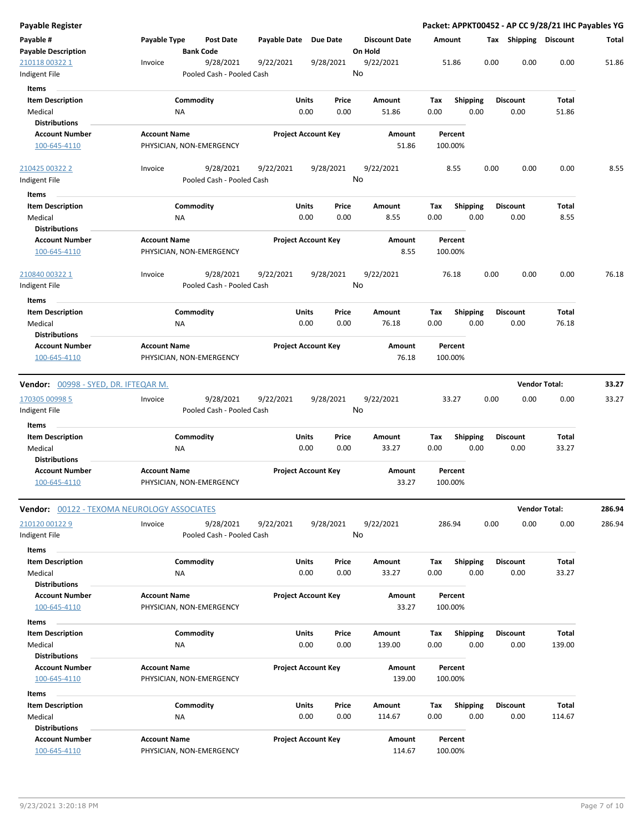| <b>Payable Register</b>                 |                                                      |              |                                |                                 | Packet: APPKT00452 - AP CC 9/28/21 IHC Payables YG |      |                         |                       |        |
|-----------------------------------------|------------------------------------------------------|--------------|--------------------------------|---------------------------------|----------------------------------------------------|------|-------------------------|-----------------------|--------|
| Payable #<br><b>Payable Description</b> | Payable Type<br><b>Post Date</b><br><b>Bank Code</b> | Payable Date | Due Date                       | <b>Discount Date</b><br>On Hold | Amount                                             |      |                         | Tax Shipping Discount | Total  |
| 210118 00322 1                          | 9/28/2021<br>Invoice                                 | 9/22/2021    | 9/28/2021                      | 9/22/2021                       | 51.86                                              | 0.00 | 0.00                    | 0.00                  | 51.86  |
| Indigent File                           | Pooled Cash - Pooled Cash                            |              |                                | No                              |                                                    |      |                         |                       |        |
| Items                                   |                                                      |              |                                |                                 |                                                    |      |                         |                       |        |
| <b>Item Description</b><br>Medical      | Commodity<br>ΝA                                      |              | Units<br>Price<br>0.00<br>0.00 | Amount<br>51.86                 | Tax<br><b>Shipping</b><br>0.00<br>0.00             |      | <b>Discount</b><br>0.00 | Total<br>51.86        |        |
| <b>Distributions</b>                    |                                                      |              |                                |                                 |                                                    |      |                         |                       |        |
| <b>Account Number</b><br>100-645-4110   | <b>Account Name</b><br>PHYSICIAN, NON-EMERGENCY      |              | <b>Project Account Key</b>     | Amount<br>51.86                 | Percent<br>100.00%                                 |      |                         |                       |        |
| 210425 00322 2                          | 9/28/2021<br>Invoice                                 | 9/22/2021    | 9/28/2021                      | 9/22/2021                       | 8.55                                               | 0.00 | 0.00                    | 0.00                  | 8.55   |
| Indigent File                           | Pooled Cash - Pooled Cash                            |              |                                | No                              |                                                    |      |                         |                       |        |
| Items                                   |                                                      |              |                                |                                 |                                                    |      |                         |                       |        |
| <b>Item Description</b>                 | Commodity                                            |              | Units<br>Price                 | Amount                          | <b>Shipping</b><br>Tax                             |      | <b>Discount</b>         | Total                 |        |
| Medical                                 | ΝA                                                   |              | 0.00<br>0.00                   | 8.55                            | 0.00<br>0.00                                       |      | 0.00                    | 8.55                  |        |
| <b>Distributions</b>                    |                                                      |              |                                |                                 |                                                    |      |                         |                       |        |
| <b>Account Number</b><br>100-645-4110   | <b>Account Name</b><br>PHYSICIAN, NON-EMERGENCY      |              | <b>Project Account Key</b>     | Amount<br>8.55                  | Percent<br>100.00%                                 |      |                         |                       |        |
| 210840 00322 1                          | 9/28/2021<br>Invoice                                 | 9/22/2021    | 9/28/2021                      | 9/22/2021                       | 76.18                                              | 0.00 | 0.00                    | 0.00                  | 76.18  |
| Indigent File                           | Pooled Cash - Pooled Cash                            |              |                                | No                              |                                                    |      |                         |                       |        |
| Items                                   |                                                      |              |                                |                                 |                                                    |      |                         |                       |        |
| <b>Item Description</b>                 | Commodity                                            |              | Units<br>Price                 | Amount                          | Tax<br><b>Shipping</b>                             |      | <b>Discount</b>         | Total                 |        |
| Medical                                 | ΝA                                                   |              | 0.00<br>0.00                   | 76.18                           | 0.00<br>0.00                                       |      | 0.00                    | 76.18                 |        |
| <b>Distributions</b>                    |                                                      |              |                                |                                 |                                                    |      |                         |                       |        |
| <b>Account Number</b>                   | <b>Account Name</b>                                  |              | <b>Project Account Key</b>     | Amount                          | Percent                                            |      |                         |                       |        |
| 100-645-4110                            | PHYSICIAN, NON-EMERGENCY                             |              |                                | 76.18                           | 100.00%                                            |      |                         |                       |        |
|                                         |                                                      |              |                                |                                 |                                                    |      |                         |                       |        |
| Vendor: 00998 - SYED, DR. IFTEQAR M.    |                                                      |              |                                |                                 |                                                    |      |                         | <b>Vendor Total:</b>  | 33.27  |
| 170305 00998 5                          | 9/28/2021<br>Invoice                                 | 9/22/2021    | 9/28/2021                      | 9/22/2021                       | 33.27                                              | 0.00 | 0.00                    | 0.00                  | 33.27  |
| Indigent File                           | Pooled Cash - Pooled Cash                            |              |                                | No                              |                                                    |      |                         |                       |        |
| Items                                   |                                                      |              |                                |                                 |                                                    |      |                         |                       |        |
| <b>Item Description</b>                 | Commodity                                            |              | Units<br>Price                 | Amount                          | Shipping<br>Tax                                    |      | <b>Discount</b>         | Total                 |        |
| Medical                                 | NA                                                   |              | 0.00<br>0.00                   | 33.27                           | 0.00<br>0.00                                       |      | 0.00                    | 33.27                 |        |
| <b>Distributions</b>                    |                                                      |              |                                |                                 |                                                    |      |                         |                       |        |
| <b>Account Number</b>                   | <b>Account Name</b>                                  |              | <b>Project Account Key</b>     | Amount                          | Percent                                            |      |                         |                       |        |
| 100-645-4110                            | PHYSICIAN, NON-EMERGENCY                             |              |                                | 33.27                           | 100.00%                                            |      |                         |                       |        |
|                                         |                                                      |              |                                |                                 |                                                    |      |                         | <b>Vendor Total:</b>  | 286.94 |
|                                         | Vendor: 00122 - TEXOMA NEUROLOGY ASSOCIATES          |              |                                |                                 |                                                    |      |                         |                       |        |
| 210120 00122 9<br>Indigent File         | Invoice<br>9/28/2021<br>Pooled Cash - Pooled Cash    | 9/22/2021    | 9/28/2021                      | 9/22/2021<br>No                 | 286.94                                             | 0.00 | 0.00                    | 0.00                  | 286.94 |
| Items                                   |                                                      |              |                                |                                 |                                                    |      |                         |                       |        |
| <b>Item Description</b>                 | Commodity                                            |              | Units<br>Price                 | Amount                          | <b>Shipping</b><br>Tax                             |      | <b>Discount</b>         | Total                 |        |
| Medical                                 | NA                                                   |              | 0.00<br>0.00                   | 33.27                           | 0.00<br>0.00                                       |      | 0.00                    | 33.27                 |        |
| <b>Distributions</b>                    |                                                      |              |                                |                                 |                                                    |      |                         |                       |        |
| <b>Account Number</b>                   | <b>Account Name</b>                                  |              | <b>Project Account Key</b>     | <b>Amount</b>                   | Percent                                            |      |                         |                       |        |
| 100-645-4110                            | PHYSICIAN, NON-EMERGENCY                             |              |                                | 33.27                           | 100.00%                                            |      |                         |                       |        |
| Items                                   |                                                      |              |                                |                                 |                                                    |      |                         |                       |        |
| <b>Item Description</b>                 | Commodity                                            |              | Units<br>Price                 | Amount                          | Tax<br><b>Shipping</b>                             |      | <b>Discount</b>         | Total                 |        |
| Medical                                 | ΝA                                                   |              | 0.00<br>0.00                   | 139.00                          | 0.00<br>0.00                                       |      | 0.00                    | 139.00                |        |
| <b>Distributions</b>                    |                                                      |              |                                |                                 |                                                    |      |                         |                       |        |
| <b>Account Number</b><br>100-645-4110   | <b>Account Name</b><br>PHYSICIAN, NON-EMERGENCY      |              | <b>Project Account Key</b>     | Amount<br>139.00                | Percent<br>100.00%                                 |      |                         |                       |        |
|                                         |                                                      |              |                                |                                 |                                                    |      |                         |                       |        |
| Items                                   |                                                      |              |                                |                                 |                                                    |      |                         |                       |        |
| <b>Item Description</b>                 | Commodity                                            |              | Units<br>Price                 | Amount                          | <b>Shipping</b><br>Тах                             |      | <b>Discount</b>         | Total                 |        |
| Medical                                 | NA                                                   |              | 0.00<br>0.00                   | 114.67                          | 0.00<br>0.00                                       |      | 0.00                    | 114.67                |        |
| <b>Distributions</b>                    |                                                      |              |                                |                                 |                                                    |      |                         |                       |        |
| <b>Account Number</b><br>100-645-4110   | <b>Account Name</b><br>PHYSICIAN, NON-EMERGENCY      |              | <b>Project Account Key</b>     | Amount<br>114.67                | Percent<br>100.00%                                 |      |                         |                       |        |
|                                         |                                                      |              |                                |                                 |                                                    |      |                         |                       |        |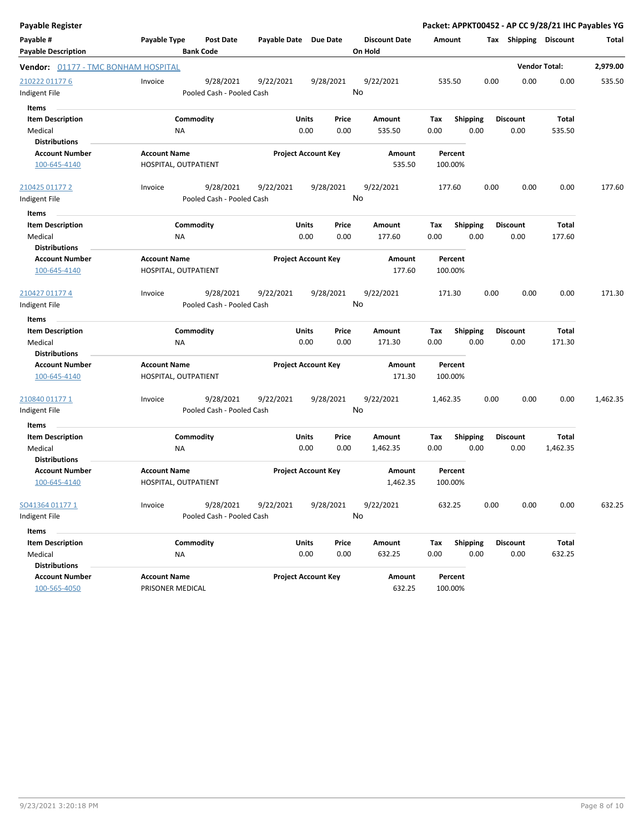| <b>Payable Register</b>             |                     |                           |                       |                            |           |                      |          |                 |      |                       | Packet: APPKT00452 - AP CC 9/28/21 IHC Payables YG |          |
|-------------------------------------|---------------------|---------------------------|-----------------------|----------------------------|-----------|----------------------|----------|-----------------|------|-----------------------|----------------------------------------------------|----------|
| Payable #                           | Payable Type        | <b>Post Date</b>          | Payable Date Due Date |                            |           | <b>Discount Date</b> | Amount   |                 |      | Tax Shipping Discount |                                                    | Total    |
| <b>Payable Description</b>          |                     | <b>Bank Code</b>          |                       |                            |           | On Hold              |          |                 |      |                       |                                                    |          |
| Vendor: 01177 - TMC BONHAM HOSPITAL |                     |                           |                       |                            |           |                      |          |                 |      |                       | <b>Vendor Total:</b>                               | 2,979.00 |
| 210222 01177 6                      | Invoice             | 9/28/2021                 | 9/22/2021             |                            | 9/28/2021 | 9/22/2021            |          | 535.50          | 0.00 | 0.00                  | 0.00                                               | 535.50   |
| Indigent File                       |                     | Pooled Cash - Pooled Cash |                       |                            |           | No                   |          |                 |      |                       |                                                    |          |
| <b>Items</b>                        |                     |                           |                       |                            |           |                      |          |                 |      |                       |                                                    |          |
| <b>Item Description</b>             |                     | Commodity                 |                       | Units                      | Price     | Amount               | Tax      | <b>Shipping</b> |      | <b>Discount</b>       | Total                                              |          |
| Medical                             |                     | ΝA                        |                       | 0.00                       | 0.00      | 535.50               | 0.00     | 0.00            |      | 0.00                  | 535.50                                             |          |
| <b>Distributions</b>                |                     |                           |                       |                            |           |                      |          |                 |      |                       |                                                    |          |
| <b>Account Number</b>               | <b>Account Name</b> |                           |                       | <b>Project Account Key</b> |           | Amount               |          | Percent         |      |                       |                                                    |          |
| 100-645-4140                        |                     | HOSPITAL, OUTPATIENT      |                       |                            |           | 535.50               |          | 100.00%         |      |                       |                                                    |          |
| 210425 01177 2                      | Invoice             | 9/28/2021                 | 9/22/2021             |                            | 9/28/2021 | 9/22/2021            |          | 177.60          | 0.00 | 0.00                  | 0.00                                               | 177.60   |
| Indigent File                       |                     | Pooled Cash - Pooled Cash |                       |                            |           | No                   |          |                 |      |                       |                                                    |          |
| Items                               |                     |                           |                       |                            |           |                      |          |                 |      |                       |                                                    |          |
| <b>Item Description</b>             |                     | Commodity                 |                       | Units                      | Price     | Amount               | Tax      | <b>Shipping</b> |      | <b>Discount</b>       | Total                                              |          |
| Medical                             |                     | NA                        |                       | 0.00                       | 0.00      | 177.60               | 0.00     | 0.00            |      | 0.00                  | 177.60                                             |          |
| <b>Distributions</b>                |                     |                           |                       |                            |           |                      |          |                 |      |                       |                                                    |          |
| <b>Account Number</b>               | <b>Account Name</b> |                           |                       | <b>Project Account Key</b> |           | Amount               |          | Percent         |      |                       |                                                    |          |
| 100-645-4140                        |                     | HOSPITAL, OUTPATIENT      |                       |                            |           | 177.60               |          | 100.00%         |      |                       |                                                    |          |
| 210427 01177 4                      | Invoice             | 9/28/2021                 | 9/22/2021             |                            | 9/28/2021 | 9/22/2021            |          | 171.30          | 0.00 | 0.00                  | 0.00                                               | 171.30   |
| Indigent File                       |                     | Pooled Cash - Pooled Cash |                       |                            |           | No                   |          |                 |      |                       |                                                    |          |
| Items                               |                     |                           |                       |                            |           |                      |          |                 |      |                       |                                                    |          |
| <b>Item Description</b>             |                     | Commodity                 |                       | Units                      | Price     | Amount               | Tax      | <b>Shipping</b> |      | <b>Discount</b>       | Total                                              |          |
| Medical                             |                     | <b>NA</b>                 |                       | 0.00                       | 0.00      | 171.30               | 0.00     | 0.00            |      | 0.00                  | 171.30                                             |          |
| <b>Distributions</b>                |                     |                           |                       |                            |           |                      |          |                 |      |                       |                                                    |          |
| <b>Account Number</b>               | <b>Account Name</b> |                           |                       | <b>Project Account Key</b> |           | Amount               |          | Percent         |      |                       |                                                    |          |
| 100-645-4140                        |                     | HOSPITAL, OUTPATIENT      |                       |                            |           | 171.30               |          | 100.00%         |      |                       |                                                    |          |
| 210840 01177 1                      | Invoice             | 9/28/2021                 | 9/22/2021             |                            | 9/28/2021 | 9/22/2021            | 1,462.35 |                 | 0.00 | 0.00                  | 0.00                                               | 1,462.35 |
| Indigent File                       |                     | Pooled Cash - Pooled Cash |                       |                            |           | No                   |          |                 |      |                       |                                                    |          |
| Items                               |                     |                           |                       |                            |           |                      |          |                 |      |                       |                                                    |          |
| <b>Item Description</b>             |                     | Commodity                 |                       | Units                      | Price     | Amount               | Tax      | Shipping        |      | <b>Discount</b>       | <b>Total</b>                                       |          |
| Medical                             |                     | ΝA                        |                       | 0.00                       | 0.00      | 1,462.35             | 0.00     | 0.00            |      | 0.00                  | 1,462.35                                           |          |
| <b>Distributions</b>                |                     |                           |                       |                            |           |                      |          |                 |      |                       |                                                    |          |
| <b>Account Number</b>               | <b>Account Name</b> |                           |                       | <b>Project Account Key</b> |           | Amount               |          | Percent         |      |                       |                                                    |          |
| 100-645-4140                        |                     | HOSPITAL, OUTPATIENT      |                       |                            |           | 1.462.35             |          | 100.00%         |      |                       |                                                    |          |
| SO41364 01177 1                     | Invoice             | 9/28/2021                 | 9/22/2021             |                            | 9/28/2021 | 9/22/2021            |          | 632.25          | 0.00 | 0.00                  | 0.00                                               | 632.25   |
| Indigent File                       |                     | Pooled Cash - Pooled Cash |                       |                            |           | No                   |          |                 |      |                       |                                                    |          |
| Items                               |                     |                           |                       |                            |           |                      |          |                 |      |                       |                                                    |          |
| <b>Item Description</b>             |                     | Commodity                 |                       | Units                      | Price     | Amount               | Tax      | <b>Shipping</b> |      | <b>Discount</b>       | Total                                              |          |
| Medical                             |                     | <b>NA</b>                 |                       | 0.00                       | 0.00      | 632.25               | 0.00     | 0.00            |      | 0.00                  | 632.25                                             |          |
| <b>Distributions</b>                |                     |                           |                       |                            |           |                      |          |                 |      |                       |                                                    |          |
| <b>Account Number</b>               | <b>Account Name</b> |                           |                       | <b>Project Account Key</b> |           | Amount               |          | Percent         |      |                       |                                                    |          |
| 100-565-4050                        | PRISONER MEDICAL    |                           |                       |                            |           | 632.25               |          | 100.00%         |      |                       |                                                    |          |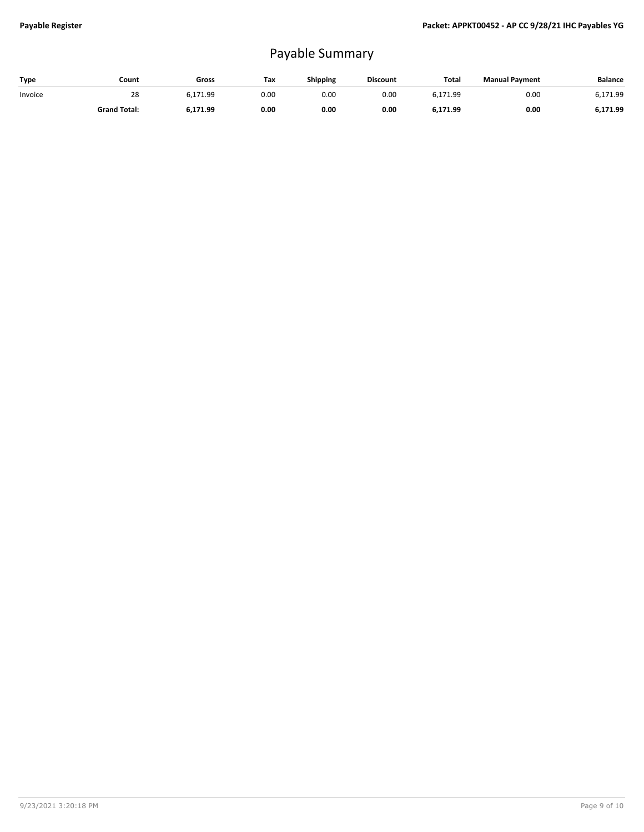## Payable Summary

| Type    | Count               | Gross    | Tax  | <b>Shipping</b> | <b>Discount</b> | Total    | <b>Manual Payment</b> | Balance  |
|---------|---------------------|----------|------|-----------------|-----------------|----------|-----------------------|----------|
| Invoice | 28                  | ó.171.99 | 0.00 | 0.OC            | 0.00            | 6,171.99 | 0.00                  | 6.171.99 |
|         | <b>Grand Total:</b> | 6,171.99 | 0.00 | 0.00            | 0.00            | 6,171.99 | 0.00                  | 6,171.99 |